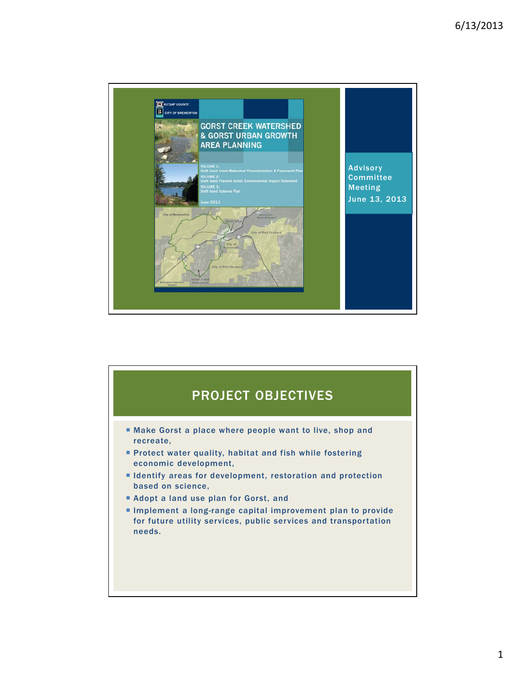

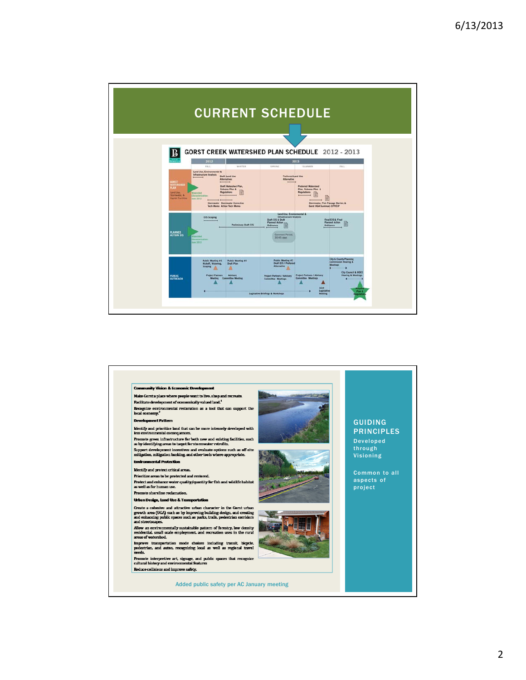

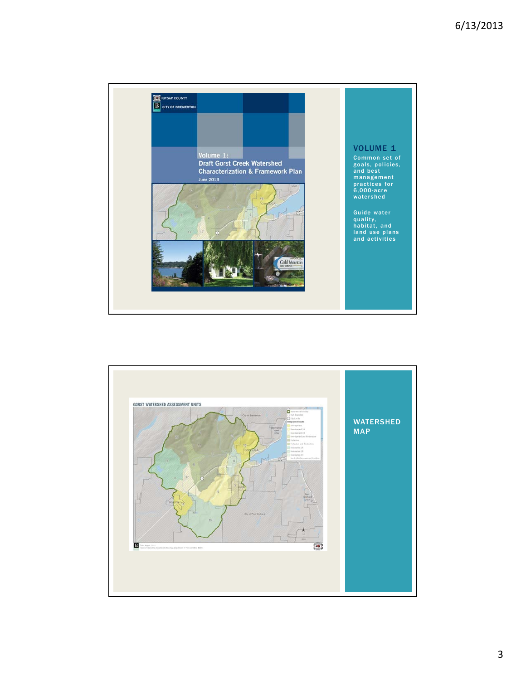

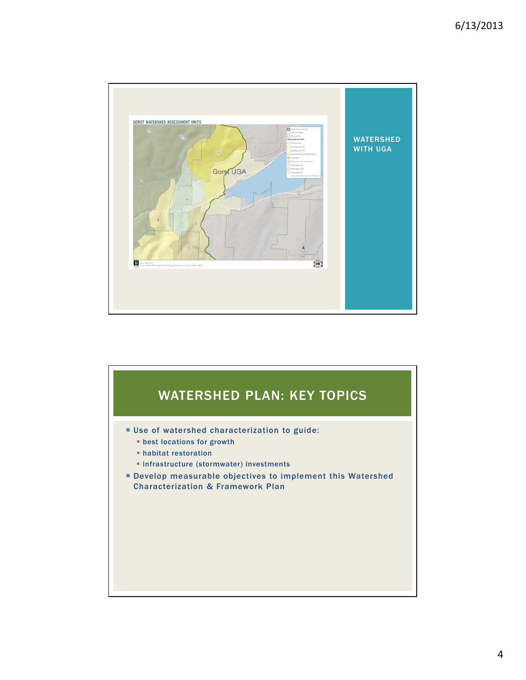

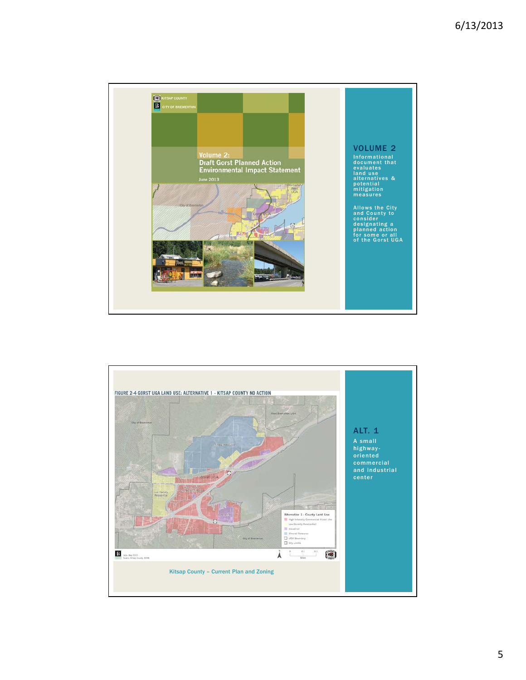

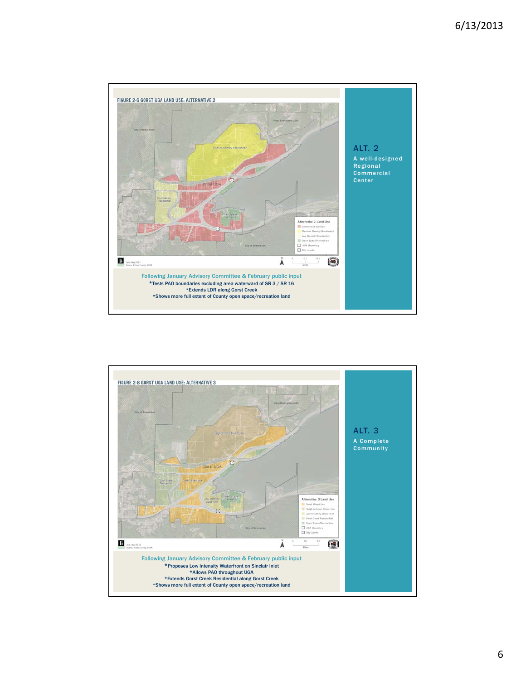

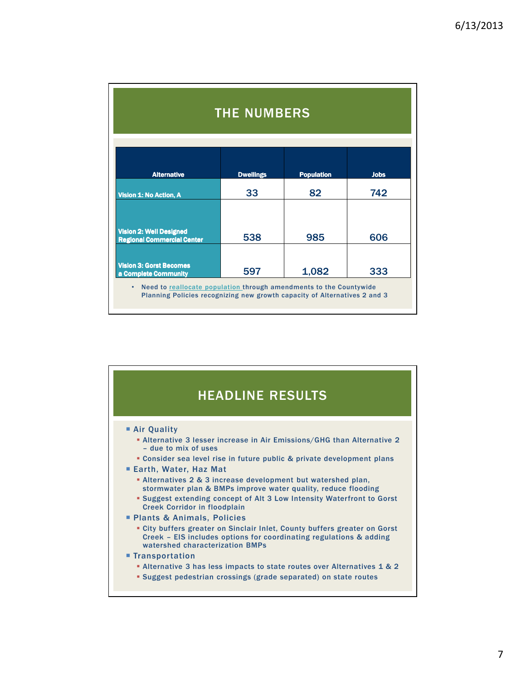| <b>THE NUMBERS</b>                                                                                                           |                  |                   |             |
|------------------------------------------------------------------------------------------------------------------------------|------------------|-------------------|-------------|
| <b>Alternative</b>                                                                                                           | <b>Dwellings</b> | <b>Population</b> | <b>Jobs</b> |
| Vision 1: No Action, A                                                                                                       | 33               | 82                | 742         |
| <b>Vision 2: Well Designed</b><br><b>Regional Commercial Center</b>                                                          | 538              | 985               | 606         |
| <b>Vision 3: Gorst Becomes</b><br>a Complete Community<br>Need to reallocate population through amendments to the Countywide | 597              | 1,082             | 333         |

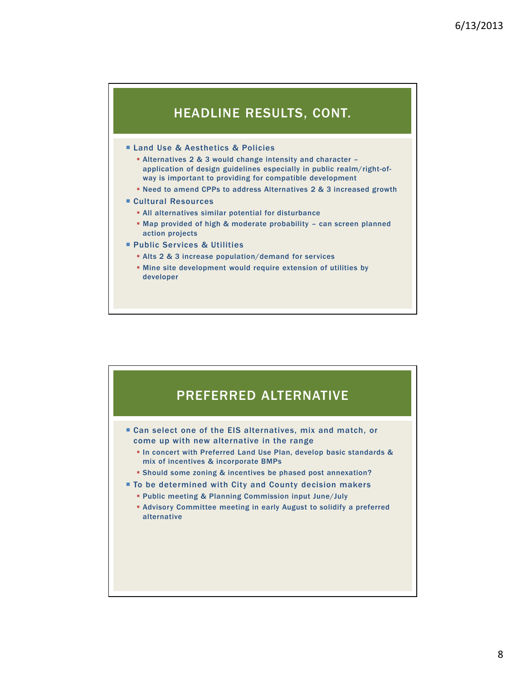## HEADLINE RESULTS, CONT.

## **Land Use & Aesthetics & Policies**

- Alternatives 2 & 3 would change intensity and character application of design guidelines especially in public realm/right-ofway is important to providing for compatible development
- Need to amend CPPs to address Alternatives 2 & 3 increased growth
- Cultural Resources
	- All alternatives similar potential for disturbance
	- Map provided of high & moderate probability can screen planned action projects
- Public Services & Utilities
	- Alts 2 & 3 increase population/demand for services
	- Mine site development would require extension of utilities by developer

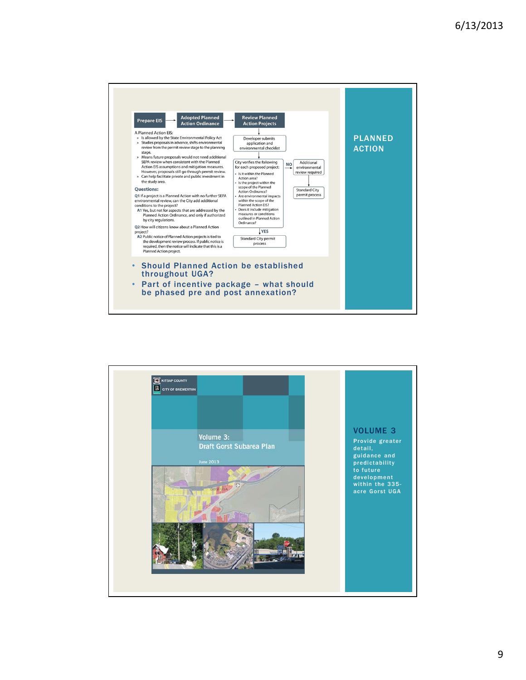

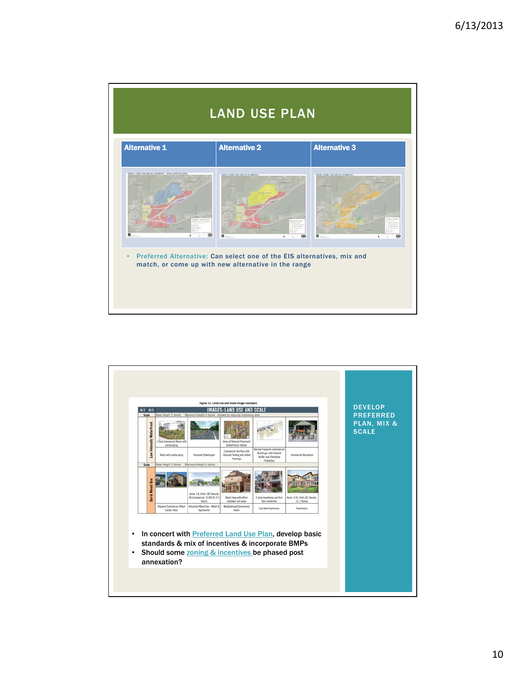

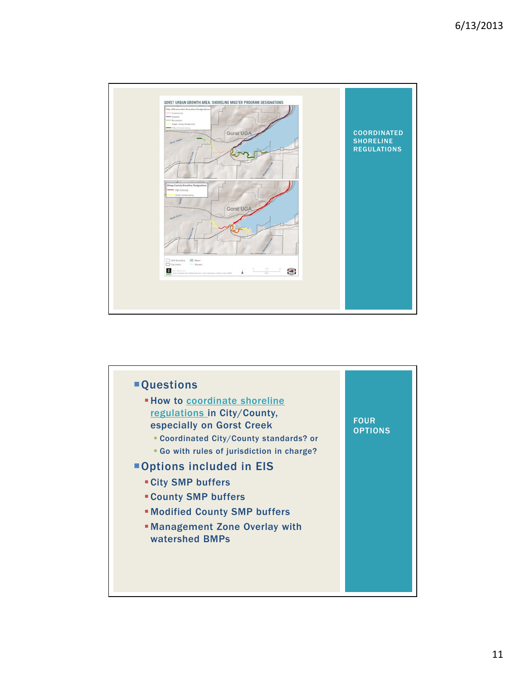

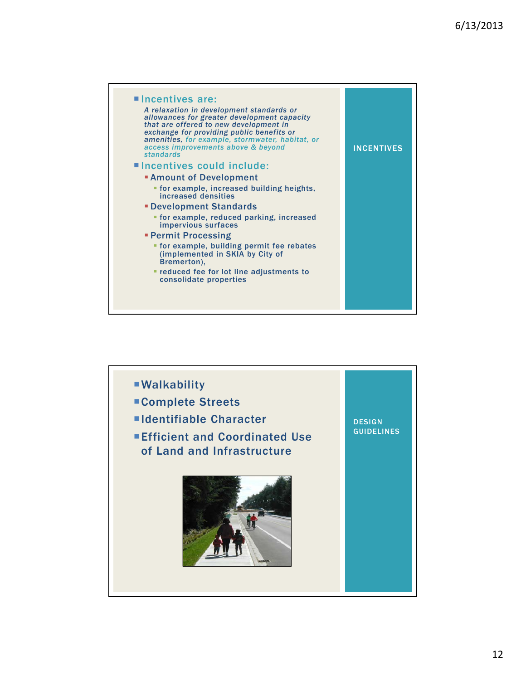

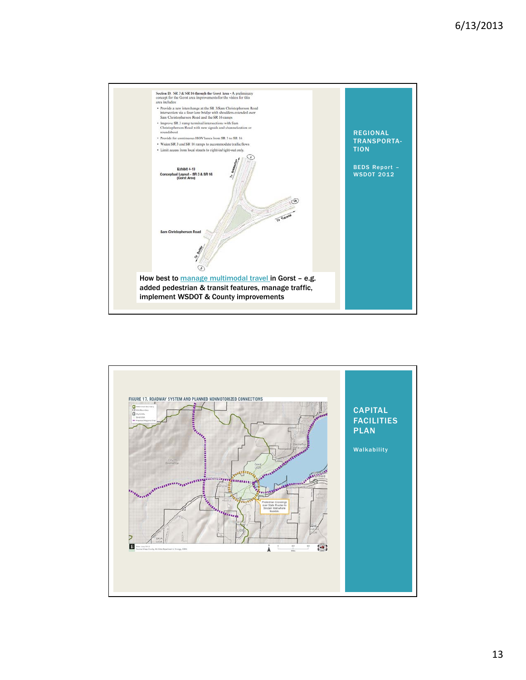

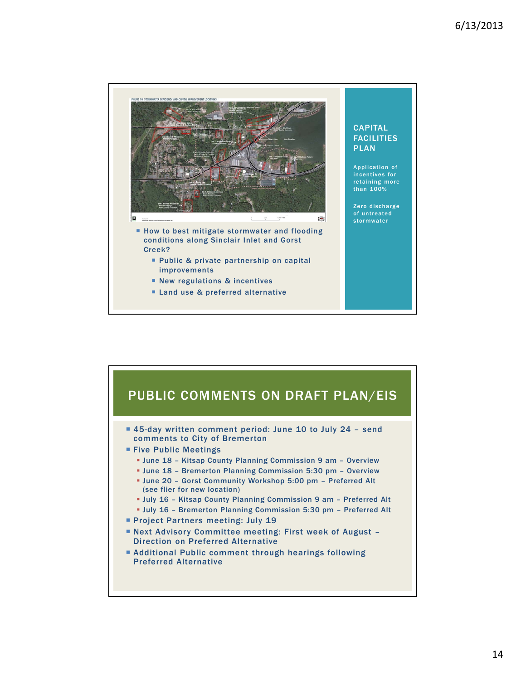